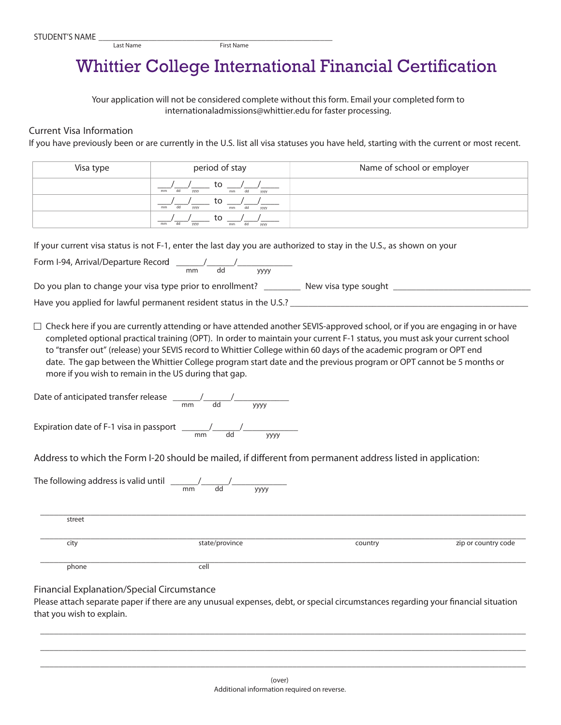## Whittier College International Financial Certification

Your application will not be considered complete without this form. Email your completed form to internationaladmissions@whittier.edu for faster *processing.*

## Current Visa Information

Last Name

If you have previously been or are currently in the U.S. list all visa statuses you have held, starting with the current or most recent.

| Visa type                                             | period of stay                                                                                                                                                                                                                                                                                                                                                                                                                                                           | Name of school or employer |                     |
|-------------------------------------------------------|--------------------------------------------------------------------------------------------------------------------------------------------------------------------------------------------------------------------------------------------------------------------------------------------------------------------------------------------------------------------------------------------------------------------------------------------------------------------------|----------------------------|---------------------|
|                                                       | to $\frac{1}{\sqrt{m}m}$                                                                                                                                                                                                                                                                                                                                                                                                                                                 |                            |                     |
|                                                       | to $\frac{1}{\frac{1}{2} \cdot \frac{1}{2} \cdot \frac{1}{2} \cdot \frac{1}{2} \cdot \frac{1}{2} \cdot \frac{1}{2} \cdot \frac{1}{2} \cdot \frac{1}{2} \cdot \frac{1}{2} \cdot \frac{1}{2} \cdot \frac{1}{2} \cdot \frac{1}{2} \cdot \frac{1}{2} \cdot \frac{1}{2} \cdot \frac{1}{2} \cdot \frac{1}{2} \cdot \frac{1}{2} \cdot \frac{1}{2} \cdot \frac{1}{2} \cdot \frac{1}{2} \cdot \frac{1}{2} \cdot \frac{1}{2} \cdot \frac{1}{2} \cdot \frac{1}{$                    |                            |                     |
|                                                       | to $\frac{1}{\frac{m m}{m}}$                                                                                                                                                                                                                                                                                                                                                                                                                                             |                            |                     |
|                                                       | If your current visa status is not F-1, enter the last day you are authorized to stay in the U.S., as shown on your                                                                                                                                                                                                                                                                                                                                                      |                            |                     |
|                                                       | Form I-94, Arrival/Departure Record $\frac{1}{2}$ and $\frac{1}{2}$ and $\frac{1}{2}$ yyy                                                                                                                                                                                                                                                                                                                                                                                |                            |                     |
|                                                       | Do you plan to change your visa type prior to enrollment? __________ New visa type sought __________                                                                                                                                                                                                                                                                                                                                                                     |                            |                     |
|                                                       |                                                                                                                                                                                                                                                                                                                                                                                                                                                                          |                            |                     |
| more if you wish to remain in the US during that gap. | completed optional practical training (OPT). In order to maintain your current F-1 status, you must ask your current school<br>to "transfer out" (release) your SEVIS record to Whittier College within 60 days of the academic program or OPT end<br>date. The gap between the Whittier College program start date and the previous program or OPT cannot be 5 months or<br>Date of anticipated transfer release $\frac{1}{2}$ and $\frac{1}{2}$ and $\frac{1}{2}$ yyyy |                            |                     |
|                                                       | Expiration date of F-1 visa in passport $\frac{1}{\text{mm}}$ $\frac{1}{\text{dd}}$                                                                                                                                                                                                                                                                                                                                                                                      |                            |                     |
|                                                       | Address to which the Form I-20 should be mailed, if different from permanent address listed in application:                                                                                                                                                                                                                                                                                                                                                              |                            |                     |
|                                                       | The following address is valid until $\frac{m}{m}$ $\frac{1}{d}$                                                                                                                                                                                                                                                                                                                                                                                                         |                            |                     |
| street                                                |                                                                                                                                                                                                                                                                                                                                                                                                                                                                          |                            |                     |
| city                                                  | state/province                                                                                                                                                                                                                                                                                                                                                                                                                                                           | country                    | zip or country code |
| phone                                                 | cell                                                                                                                                                                                                                                                                                                                                                                                                                                                                     |                            |                     |

## Financial Explanation/Special Circumstance

Please attach separate paper if there are any unusual expenses, debt, or special circumstances regarding your financial situation that you wish to explain.

\_\_\_\_\_\_\_\_\_\_\_\_\_\_\_\_\_\_\_\_\_\_\_\_\_\_\_\_\_\_\_\_\_\_\_\_\_\_\_\_\_\_\_\_\_\_\_\_\_\_\_\_\_\_\_\_\_\_\_\_\_\_\_\_\_\_\_\_\_\_\_\_\_\_\_\_\_\_\_\_\_\_\_\_\_\_\_\_\_\_\_\_\_\_\_\_\_\_\_\_\_\_\_\_\_\_ \_\_\_\_\_\_\_\_\_\_\_\_\_\_\_\_\_\_\_\_\_\_\_\_\_\_\_\_\_\_\_\_\_\_\_\_\_\_\_\_\_\_\_\_\_\_\_\_\_\_\_\_\_\_\_\_\_\_\_\_\_\_\_\_\_\_\_\_\_\_\_\_\_\_\_\_\_\_\_\_\_\_\_\_\_\_\_\_\_\_\_\_\_\_\_\_\_\_\_\_\_\_\_\_\_\_ \_\_\_\_\_\_\_\_\_\_\_\_\_\_\_\_\_\_\_\_\_\_\_\_\_\_\_\_\_\_\_\_\_\_\_\_\_\_\_\_\_\_\_\_\_\_\_\_\_\_\_\_\_\_\_\_\_\_\_\_\_\_\_\_\_\_\_\_\_\_\_\_\_\_\_\_\_\_\_\_\_\_\_\_\_\_\_\_\_\_\_\_\_\_\_\_\_\_\_\_\_\_\_\_\_\_